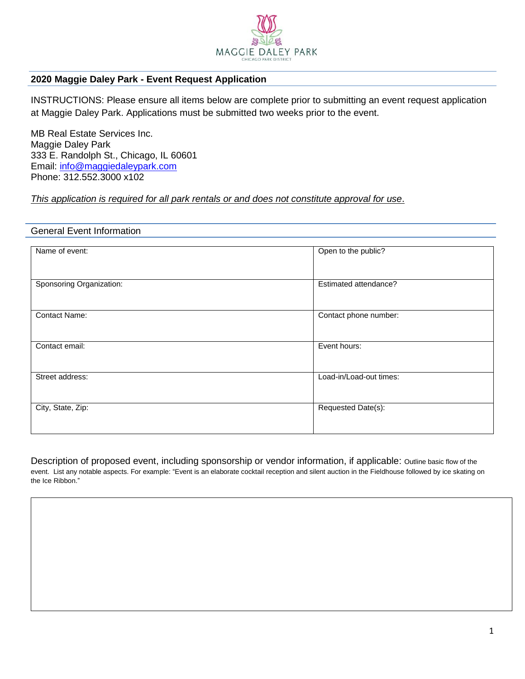

# **2020 Maggie Daley Park - Event Request Application**

INSTRUCTIONS: Please ensure all items below are complete prior to submitting an event request application at Maggie Daley Park. Applications must be submitted two weeks prior to the event.

MB Real Estate Services Inc. Maggie Daley Park 333 E. Randolph St., Chicago, IL 60601 Email: [info@maggiedaleypark.com](mailto:info@maggiedaleypark.com) Phone: 312.552.3000 x102

# *This application is required for all park rentals or and does not constitute approval for use*.

## General Event Information

| Name of event:           | Open to the public?     |
|--------------------------|-------------------------|
| Sponsoring Organization: | Estimated attendance?   |
| <b>Contact Name:</b>     | Contact phone number:   |
| Contact email:           | Event hours:            |
| Street address:          | Load-in/Load-out times: |
| City, State, Zip:        | Requested Date(s):      |

Description of proposed event, including sponsorship or vendor information, if applicable: Outline basic flow of the event. List any notable aspects. For example: "Event is an elaborate cocktail reception and silent auction in the Fieldhouse followed by ice skating on the Ice Ribbon."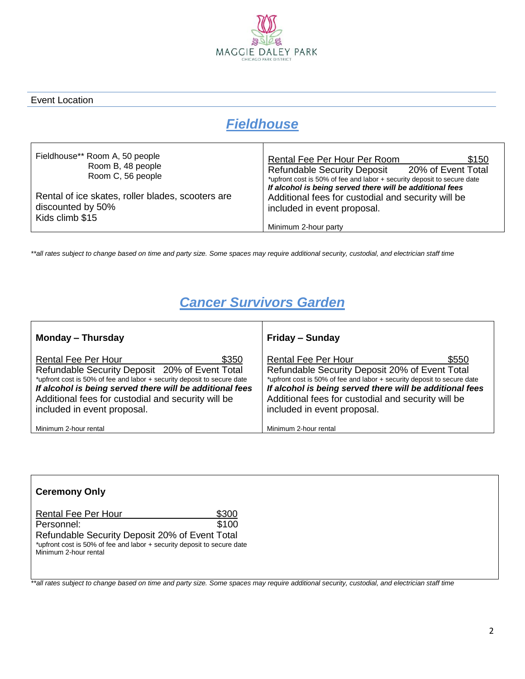

## Event Location

# *Fieldhouse*

| Fieldhouse** Room A, 50 people<br>Room B, 48 people<br>Room C, 56 people                  | Rental Fee Per Hour Per Room<br>\$150<br><b>Refundable Security Deposit</b><br>20% of Event Total<br>*upfront cost is 50% of fee and labor + security deposit to secure date |
|-------------------------------------------------------------------------------------------|------------------------------------------------------------------------------------------------------------------------------------------------------------------------------|
| Rental of ice skates, roller blades, scooters are<br>discounted by 50%<br>Kids climb \$15 | If alcohol is being served there will be additional fees<br>Additional fees for custodial and security will be<br>included in event proposal.<br>Minimum 2-hour party        |

*\*\*all rates subject to change based on time and party size. Some spaces may require additional security, custodial, and electrician staff time*

# *Cancer Survivors Garden*

| <b>Monday - Thursday</b>                                                                                                                                                                                                                                                                                          | <b>Friday - Sunday</b>                                                                                                                                                                                                                                                                                            |
|-------------------------------------------------------------------------------------------------------------------------------------------------------------------------------------------------------------------------------------------------------------------------------------------------------------------|-------------------------------------------------------------------------------------------------------------------------------------------------------------------------------------------------------------------------------------------------------------------------------------------------------------------|
| \$350<br><b>Rental Fee Per Hour</b><br>Refundable Security Deposit 20% of Event Total<br>*upfront cost is 50% of fee and labor + security deposit to secure date<br>If alcohol is being served there will be additional fees<br>Additional fees for custodial and security will be<br>included in event proposal. | \$550<br><b>Rental Fee Per Hour</b><br>Refundable Security Deposit 20% of Event Total<br>*upfront cost is 50% of fee and labor + security deposit to secure date<br>If alcohol is being served there will be additional fees<br>Additional fees for custodial and security will be<br>included in event proposal. |
| Minimum 2-hour rental                                                                                                                                                                                                                                                                                             | Minimum 2-hour rental                                                                                                                                                                                                                                                                                             |

| <b>Ceremony Only</b>                                                                             |       |
|--------------------------------------------------------------------------------------------------|-------|
| <b>Rental Fee Per Hour</b>                                                                       | \$300 |
| Personnel:                                                                                       | \$100 |
| Refundable Security Deposit 20% of Event Total                                                   |       |
| *upfront cost is 50% of fee and labor + security deposit to secure date<br>Minimum 2-hour rental |       |

*\*\*all rates subject to change based on time and party size. Some spaces may require additional security, custodial, and electrician staff time*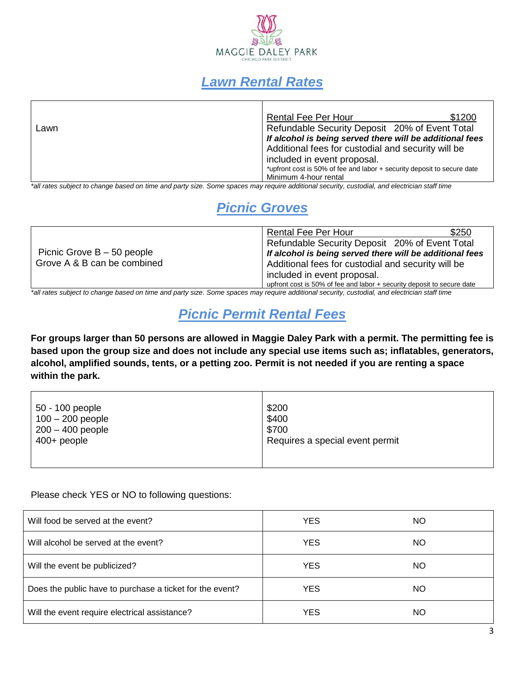

# *Lawn Rental Rates*

|      | <b>Rental Fee Per Hour</b>                               | \$1200                                                                  |
|------|----------------------------------------------------------|-------------------------------------------------------------------------|
| Lawn | Refundable Security Deposit 20% of Event Total           |                                                                         |
|      | If alcohol is being served there will be additional fees |                                                                         |
|      | Additional fees for custodial and security will be       |                                                                         |
|      | included in event proposal.                              |                                                                         |
|      |                                                          | *upfront cost is 50% of fee and labor + security deposit to secure date |
|      | Minimum 4-hour rental                                    |                                                                         |
|      |                                                          |                                                                         |

*\*all rates subject to change based on time and party size. Some spaces may require additional security, custodial, and electrician staff time*

# *Picnic Groves*

|                                                             | \$250<br>Rental Fee Per Hour                                           |
|-------------------------------------------------------------|------------------------------------------------------------------------|
| Picnic Grove $B - 50$ people<br>Grove A & B can be combined | Refundable Security Deposit 20% of Event Total                         |
|                                                             | If alcohol is being served there will be additional fees               |
|                                                             | Additional fees for custodial and security will be                     |
|                                                             | included in event proposal.                                            |
|                                                             | upfront cost is 50% of fee and labor + security deposit to secure date |

*\*all rates subject to change based on time and party size. Some spaces may require additional security, custodial, and electrician staff time*

# *Picnic Permit Rental Fees*

**For groups larger than 50 persons are allowed in Maggie Daley Park with a permit. The permitting fee is based upon the group size and does not include any special use items such as; inflatables, generators, alcohol, amplified sounds, tents, or a petting zoo. Permit is not needed if you are renting a space within the park.**

| 50 - 100 people<br>$100 - 200$ people<br>$200 - 400$ people | \$200<br>\$400<br>\$700         |
|-------------------------------------------------------------|---------------------------------|
| $400+$ people                                               | Requires a special event permit |
|                                                             |                                 |

Please check YES or NO to following questions:

| Will food be served at the event?                        | <b>YES</b> | NO        |
|----------------------------------------------------------|------------|-----------|
| Will alcohol be served at the event?                     | <b>YES</b> | ΝO        |
| Will the event be publicized?                            | <b>YES</b> | NO        |
| Does the public have to purchase a ticket for the event? | <b>YES</b> | NO        |
| Will the event require electrical assistance?            | <b>YES</b> | <b>NO</b> |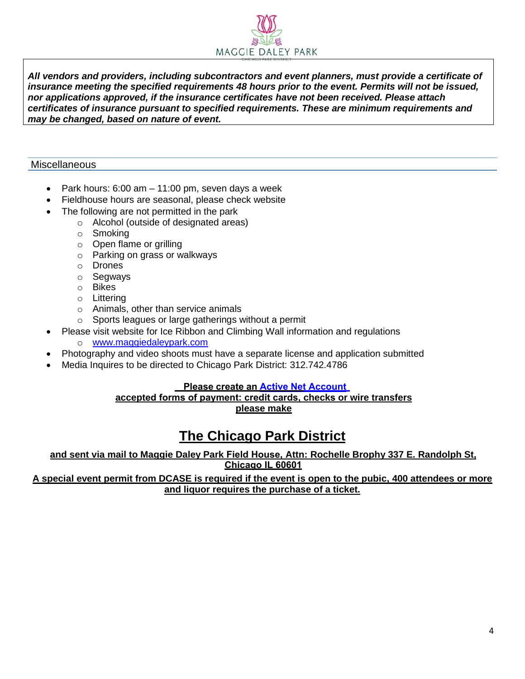

*All vendors and providers, including subcontractors and event planners, must provide a certificate of insurance meeting the specified requirements 48 hours prior to the event. Permits will not be issued, nor applications approved, if the insurance certificates have not been received. Please attach certificates of insurance pursuant to specified requirements. These are minimum requirements and may be changed, based on nature of event.*

# **Miscellaneous**

- Park hours: 6:00 am 11:00 pm, seven days a week
- Fieldhouse hours are seasonal, please check website
- The following are not permitted in the park
	- o Alcohol (outside of designated areas)
	- o Smoking
	- o Open flame or grilling
	- o Parking on grass or walkways
	- o Drones
	- o Segways
	- o Bikes
	- o Littering
	- o Animals, other than service animals
	- o Sports leagues or large gatherings without a permit
- Please visit website for Ice Ribbon and Climbing Wall information and regulations
	- o [www.maggiedaleypark.com](http://www.maggiedaleypark.com/)
- Photography and video shoots must have a separate license and application submitted
- Media Inquires to be directed to Chicago Park District: 312.742.4786

# **[Please create an Active Net Account](https://apm.activecommunities.com/chicagoparkdistrict/Create_Account)**

# **accepted forms of payment: credit cards, checks or wire transfers please make**

# **The Chicago Park District**

# **and sent via mail to Maggie Daley Park Field House, Attn: Rochelle Brophy 337 E. Randolph St, Chicago IL 60601**

**A special event permit from DCASE is required if the event is open to the pubic, 400 attendees or more and liquor requires the purchase of a ticket.**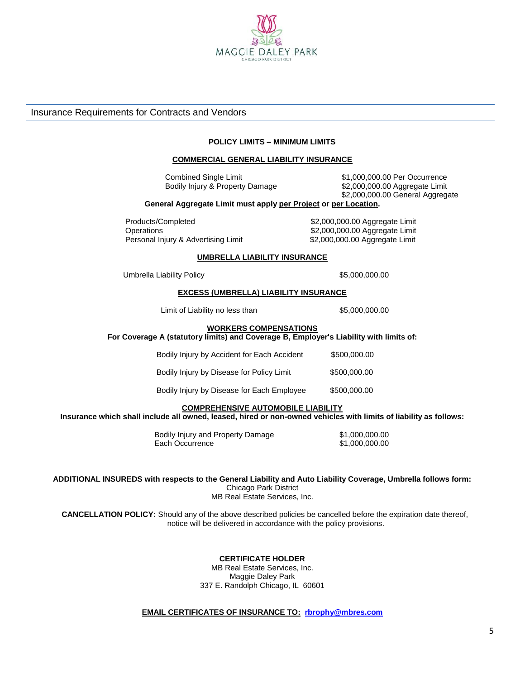

## Insurance Requirements for Contracts and Vendors

#### **POLICY LIMITS – MINIMUM LIMITS**

#### **COMMERCIAL GENERAL LIABILITY INSURANCE**

Bodily Injury & Property Damage \$2,000,000.00 Aggregate Limit

 Combined Single Limit \$1,000,000.00 Per Occurrence \$2,000,000.00 General Aggregate

#### **General Aggregate Limit must apply per Project or per Location.**

Products/Completed \$2,000,000.00 Aggregate Limit Operations \$2,000,000.00 Aggregate Limit Personal Injury & Advertising Limit \$2,000,000.00 Aggregate Limit

#### **UMBRELLA LIABILITY INSURANCE**

Umbrella Liability Policy **\$5,000,000.00** 

#### **EXCESS (UMBRELLA) LIABILITY INSURANCE**

Limit of Liability no less than \$5,000,000.00

## **WORKERS COMPENSATIONS**

**For Coverage A (statutory limits) and Coverage B, Employer's Liability with limits of:**

| Bodily Injury by Accident for Each Accident | \$500,000,00 |
|---------------------------------------------|--------------|
| Bodily Injury by Disease for Policy Limit   | \$500,000,00 |
| Bodily Injury by Disease for Each Employee  | \$500,000,00 |

#### **COMPREHENSIVE AUTOMOBILE LIABILITY**

**Insurance which shall include all owned, leased, hired or non-owned vehicles with limits of liability as follows:**

Bodily Injury and Property Damage \$1,000,000.00 Each Occurrence \$1,000,000.00

**ADDITIONAL INSUREDS with respects to the General Liability and Auto Liability Coverage, Umbrella follows form:** Chicago Park District MB Real Estate Services, Inc.

**CANCELLATION POLICY:** Should any of the above described policies be cancelled before the expiration date thereof, notice will be delivered in accordance with the policy provisions.

## **CERTIFICATE HOLDER**

MB Real Estate Services, Inc. Maggie Daley Park 337 E. Randolph Chicago, IL 60601

## **EMAIL CERTIFICATES OF INSURANCE TO: [rbrophy@mbres.com](mailto:rbrophy@mbres.com)**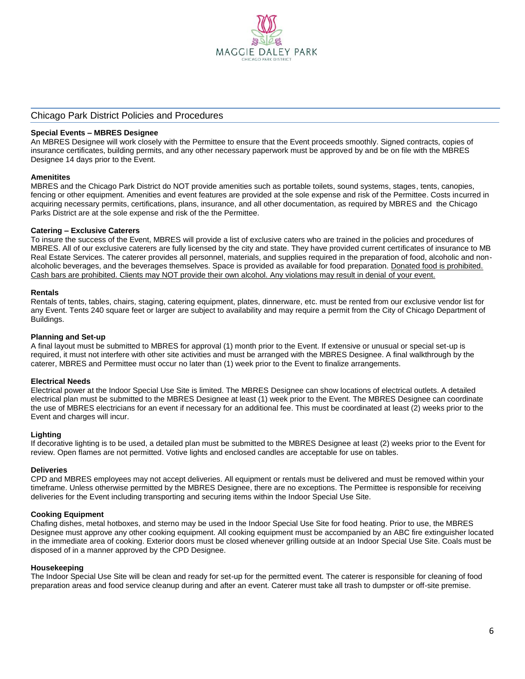

### Chicago Park District Policies and Procedures

#### **Special Events – MBRES Designee**

An MBRES Designee will work closely with the Permittee to ensure that the Event proceeds smoothly. Signed contracts, copies of insurance certificates, building permits, and any other necessary paperwork must be approved by and be on file with the MBRES Designee 14 days prior to the Event.

#### **Amenitites**

MBRES and the Chicago Park District do NOT provide amenities such as portable toilets, sound systems, stages, tents, canopies, fencing or other equipment. Amenities and event features are provided at the sole expense and risk of the Permittee. Costs incurred in acquiring necessary permits, certifications, plans, insurance, and all other documentation, as required by MBRES and the Chicago Parks District are at the sole expense and risk of the the Permittee.

#### **Catering – Exclusive Caterers**

To insure the success of the Event, MBRES will provide a list of exclusive caters who are trained in the policies and procedures of MBRES. All of our exclusive caterers are fully licensed by the city and state. They have provided current certificates of insurance to MB Real Estate Services. The caterer provides all personnel, materials, and supplies required in the preparation of food, alcoholic and nonalcoholic beverages, and the beverages themselves. Space is provided as available for food preparation. Donated food is prohibited. Cash bars are prohibited. Clients may NOT provide their own alcohol. Any violations may result in denial of your event.

#### **Rentals**

Rentals of tents, tables, chairs, staging, catering equipment, plates, dinnerware, etc. must be rented from our exclusive vendor list for any Event. Tents 240 square feet or larger are subject to availability and may require a permit from the City of Chicago Department of Buildings.

#### **Planning and Set-up**

A final layout must be submitted to MBRES for approval (1) month prior to the Event. If extensive or unusual or special set-up is required, it must not interfere with other site activities and must be arranged with the MBRES Designee. A final walkthrough by the caterer, MBRES and Permittee must occur no later than (1) week prior to the Event to finalize arrangements.

#### **Electrical Needs**

Electrical power at the Indoor Special Use Site is limited. The MBRES Designee can show locations of electrical outlets. A detailed electrical plan must be submitted to the MBRES Designee at least (1) week prior to the Event. The MBRES Designee can coordinate the use of MBRES electricians for an event if necessary for an additional fee. This must be coordinated at least (2) weeks prior to the Event and charges will incur.

#### **Lighting**

If decorative lighting is to be used, a detailed plan must be submitted to the MBRES Designee at least (2) weeks prior to the Event for review. Open flames are not permitted. Votive lights and enclosed candles are acceptable for use on tables.

#### **Deliveries**

CPD and MBRES employees may not accept deliveries. All equipment or rentals must be delivered and must be removed within your timeframe. Unless otherwise permitted by the MBRES Designee, there are no exceptions. The Permittee is responsible for receiving deliveries for the Event including transporting and securing items within the Indoor Special Use Site.

#### **Cooking Equipment**

Chafing dishes, metal hotboxes, and sterno may be used in the Indoor Special Use Site for food heating. Prior to use, the MBRES Designee must approve any other cooking equipment. All cooking equipment must be accompanied by an ABC fire extinguisher located in the immediate area of cooking. Exterior doors must be closed whenever grilling outside at an Indoor Special Use Site. Coals must be disposed of in a manner approved by the CPD Designee.

#### **Housekeeping**

The Indoor Special Use Site will be clean and ready for set-up for the permitted event. The caterer is responsible for cleaning of food preparation areas and food service cleanup during and after an event. Caterer must take all trash to dumpster or off-site premise.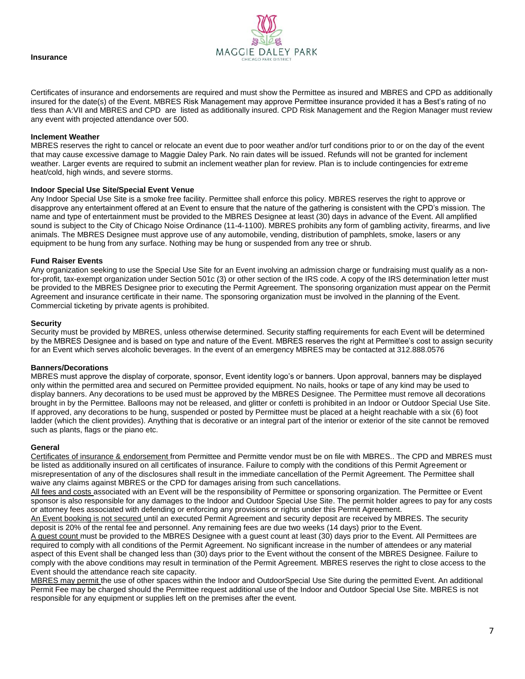



Certificates of insurance and endorsements are required and must show the Permittee as insured and MBRES and CPD as additionally insured for the date(s) of the Event. MBRES Risk Management may approve Permittee insurance provided it has a Best's rating of no tless than A:VII and MBRES and CPD are listed as additionally insured. CPD Risk Management and the Region Manager must review any event with projected attendance over 500.

### **Inclement Weather**

MBRES reserves the right to cancel or relocate an event due to poor weather and/or turf conditions prior to or on the day of the event that may cause excessive damage to Maggie Daley Park. No rain dates will be issued. Refunds will not be granted for inclement weather. Larger events are required to submit an inclement weather plan for review. Plan is to include contingencies for extreme heat/cold, high winds, and severe storms.

#### **Indoor Special Use Site/Special Event Venue**

Any Indoor Special Use Site is a smoke free facility. Permittee shall enforce this policy. MBRES reserves the right to approve or disapprove any entertainment offered at an Event to ensure that the nature of the gathering is consistent with the CPD's mission. The name and type of entertainment must be provided to the MBRES Designee at least (30) days in advance of the Event. All amplified sound is subject to the City of Chicago Noise Ordinance (11-4-1100). MBRES prohibits any form of gambling activity, firearms, and live animals. The MBRES Designee must approve use of any automobile, vending, distribution of pamphlets, smoke, lasers or any equipment to be hung from any surface. Nothing may be hung or suspended from any tree or shrub.

## **Fund Raiser Events**

Any organization seeking to use the Special Use Site for an Event involving an admission charge or fundraising must qualify as a nonfor-profit, tax-exempt organization under Section 501c (3) or other section of the IRS code. A copy of the IRS determination letter must be provided to the MBRES Designee prior to executing the Permit Agreement. The sponsoring organization must appear on the Permit Agreement and insurance certificate in their name. The sponsoring organization must be involved in the planning of the Event. Commercial ticketing by private agents is prohibited.

#### **Security**

Security must be provided by MBRES, unless otherwise determined. Security staffing requirements for each Event will be determined by the MBRES Designee and is based on type and nature of the Event. MBRES reserves the right at Permittee's cost to assign security for an Event which serves alcoholic beverages. In the event of an emergency MBRES may be contacted at 312.888.0576

## **Banners/Decorations**

MBRES must approve the display of corporate, sponsor, Event identity logo's or banners. Upon approval, banners may be displayed only within the permitted area and secured on Permittee provided equipment. No nails, hooks or tape of any kind may be used to display banners. Any decorations to be used must be approved by the MBRES Designee. The Permittee must remove all decorations brought in by the Permittee. Balloons may not be released, and glitter or confetti is prohibited in an Indoor or Outdoor Special Use Site. If approved, any decorations to be hung, suspended or posted by Permittee must be placed at a height reachable with a six (6) foot ladder (which the client provides). Anything that is decorative or an integral part of the interior or exterior of the site cannot be removed such as plants, flags or the piano etc.

#### **General**

Certificates of insurance & endorsement from Permittee and Permitte vendor must be on file with MBRES.. The CPD and MBRES must be listed as additionally insured on all certificates of insurance. Failure to comply with the conditions of this Permit Agreement or misrepresentation of any of the disclosures shall result in the immediate cancellation of the Permit Agreement. The Permittee shall waive any claims against MBRES or the CPD for damages arising from such cancellations.

All fees and costs associated with an Event will be the responsibility of Permittee or sponsoring organization. The Permittee or Event sponsor is also responsible for any damages to the Indoor and Outdoor Special Use Site. The permit holder agrees to pay for any costs or attorney fees associated with defending or enforcing any provisions or rights under this Permit Agreement.

An Event booking is not secured until an executed Permit Agreement and security deposit are received by MBRES. The security deposit is 20% of the rental fee and personnel. Any remaining fees are due two weeks (14 days) prior to the Event.

A guest count must be provided to the MBRES Designee with a guest count at least (30) days prior to the Event. All Permittees are required to comply with all conditions of the Permit Agreement. No significant increase in the number of attendees or any material aspect of this Event shall be changed less than (30) days prior to the Event without the consent of the MBRES Designee. Failure to comply with the above conditions may result in termination of the Permit Agreement. MBRES reserves the right to close access to the Event should the attendance reach site capacity.

MBRES may permit the use of other spaces within the Indoor and OutdoorSpecial Use Site during the permitted Event. An additional Permit Fee may be charged should the Permittee request additional use of the Indoor and Outdoor Special Use Site. MBRES is not responsible for any equipment or supplies left on the premises after the event.